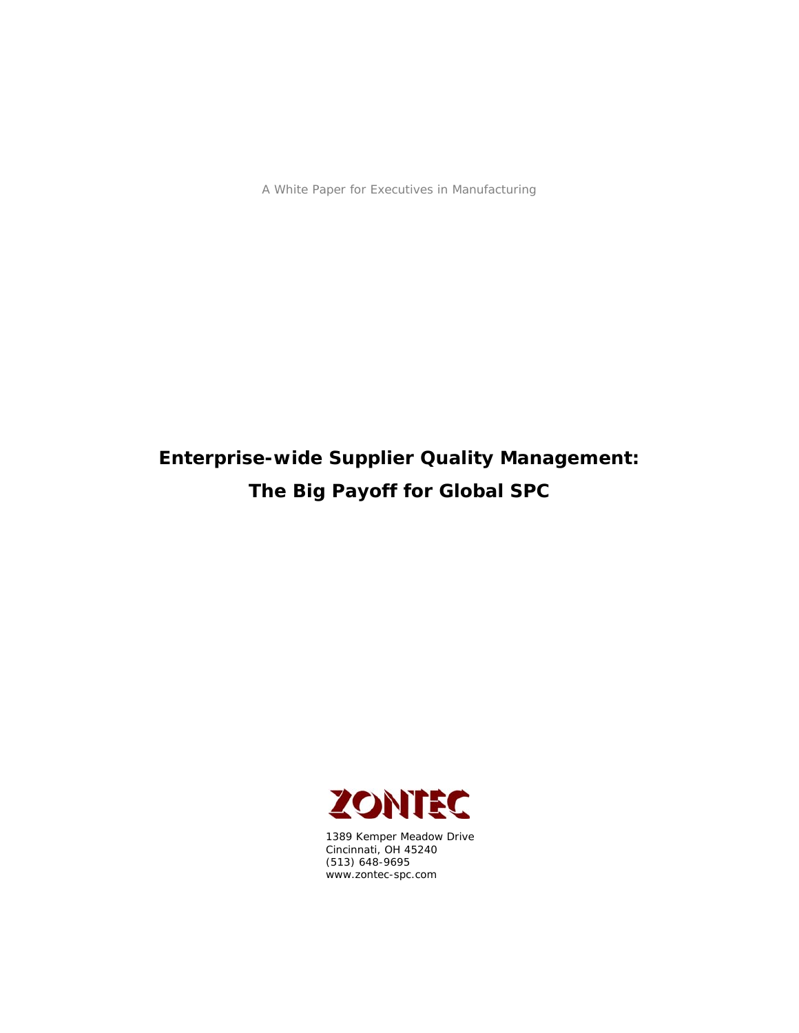A White Paper for Executives in Manufacturing

# **Enterprise-wide Supplier Quality Management: The Big Payoff for Global SPC**



1389 Kemper Meadow Drive Cincinnati, OH 45240 (513) 648-9695 www.zontec-spc.com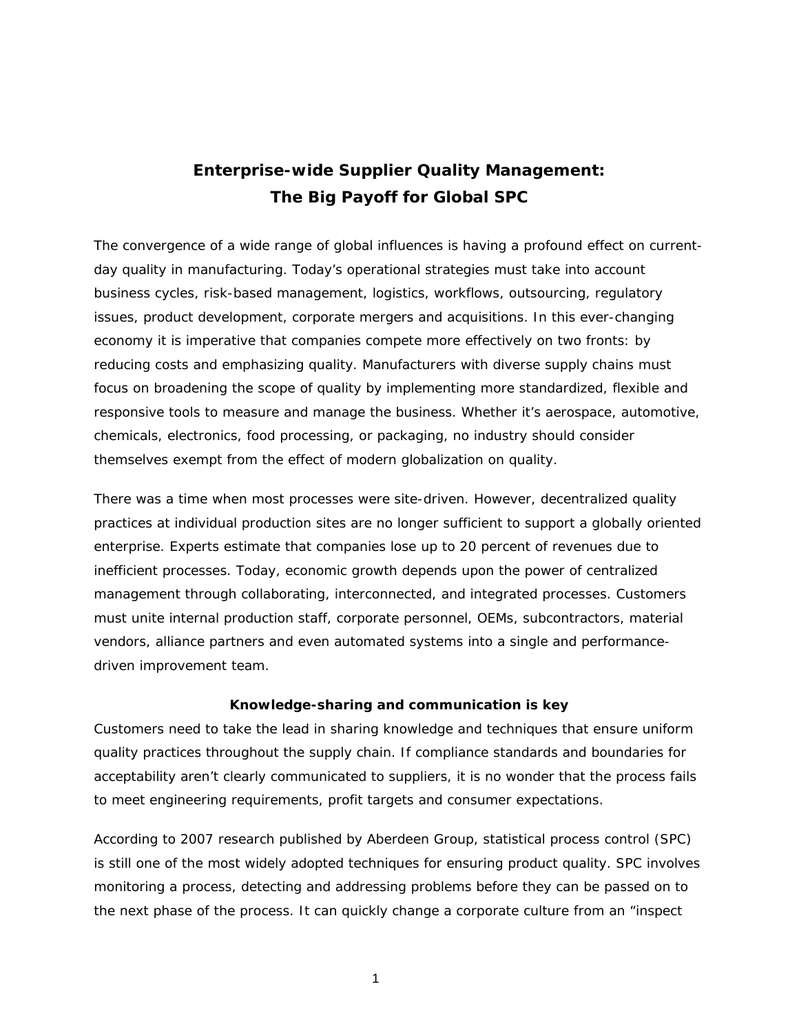## **Enterprise-wide Supplier Quality Management: The Big Payoff for Global SPC**

The convergence of a wide range of global influences is having a profound effect on currentday quality in manufacturing. Today's operational strategies must take into account business cycles, risk-based management, logistics, workflows, outsourcing, regulatory issues, product development, corporate mergers and acquisitions. In this ever-changing economy it is imperative that companies compete more effectively on two fronts: by reducing costs and emphasizing quality. Manufacturers with diverse supply chains must focus on broadening the scope of quality by implementing more standardized, flexible and responsive tools to measure and manage the business. Whether it's aerospace, automotive, chemicals, electronics, food processing, or packaging, no industry should consider themselves exempt from the effect of modern globalization on quality.

There was a time when most processes were site-driven. However, decentralized quality practices at individual production sites are no longer sufficient to support a globally oriented enterprise. Experts estimate that companies lose up to 20 percent of revenues due to inefficient processes. Today, economic growth depends upon the power of centralized management through collaborating, interconnected, and integrated processes. Customers must unite internal production staff, corporate personnel, OEMs, subcontractors, material vendors, alliance partners and even automated systems into a single and performancedriven improvement team.

#### **Knowledge-sharing and communication is key**

Customers need to take the lead in sharing knowledge and techniques that ensure uniform quality practices throughout the supply chain. If compliance standards and boundaries for acceptability aren't clearly communicated to suppliers, it is no wonder that the process fails to meet engineering requirements, profit targets and consumer expectations.

According to 2007 research published by Aberdeen Group, statistical process control (SPC) is still one of the most widely adopted techniques for ensuring product quality. SPC involves monitoring a process, detecting and addressing problems before they can be passed on to the next phase of the process. It can quickly change a corporate culture from an "inspect

1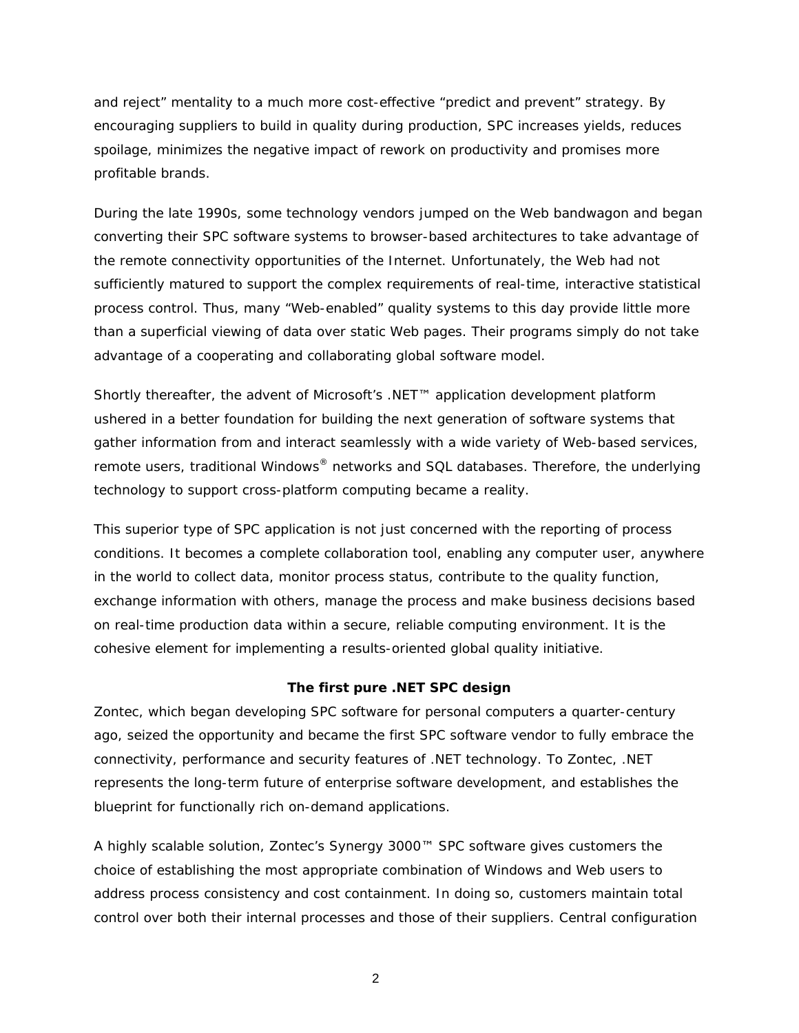and reject" mentality to a much more cost-effective "predict and prevent" strategy. By encouraging suppliers to build in quality during production, SPC increases yields, reduces spoilage, minimizes the negative impact of rework on productivity and promises more profitable brands.

During the late 1990s, some technology vendors jumped on the Web bandwagon and began converting their SPC software systems to browser-based architectures to take advantage of the remote connectivity opportunities of the Internet. Unfortunately, the Web had not sufficiently matured to support the complex requirements of real-time, interactive statistical process control. Thus, many "Web-enabled" quality systems to this day provide little more than a superficial viewing of data over static Web pages. Their programs simply do not take advantage of a cooperating and collaborating global software model.

Shortly thereafter, the advent of Microsoft's .NET™ application development platform ushered in a better foundation for building the next generation of software systems that gather information from and interact seamlessly with a wide variety of Web-based services, remote users, traditional Windows<sup>®</sup> networks and SQL databases. Therefore, the underlying technology to support cross-platform computing became a reality.

This superior type of SPC application is not just concerned with the reporting of process conditions. It becomes a complete collaboration tool, enabling any computer user, anywhere in the world to collect data, monitor process status, contribute to the quality function, exchange information with others, manage the process and make business decisions based on real-time production data within a secure, reliable computing environment. It is the cohesive element for implementing a results-oriented global quality initiative.

#### **The first pure .NET SPC design**

Zontec, which began developing SPC software for personal computers a quarter-century ago, seized the opportunity and became the first SPC software vendor to fully embrace the connectivity, performance and security features of .NET technology. To Zontec, .NET represents the long-term future of enterprise software development, and establishes the blueprint for functionally rich on-demand applications.

A highly scalable solution, Zontec's Synergy 3000™ SPC software gives customers the choice of establishing the most appropriate combination of Windows and Web users to address process consistency and cost containment. In doing so, customers maintain total control over both their internal processes and those of their suppliers. Central configuration

2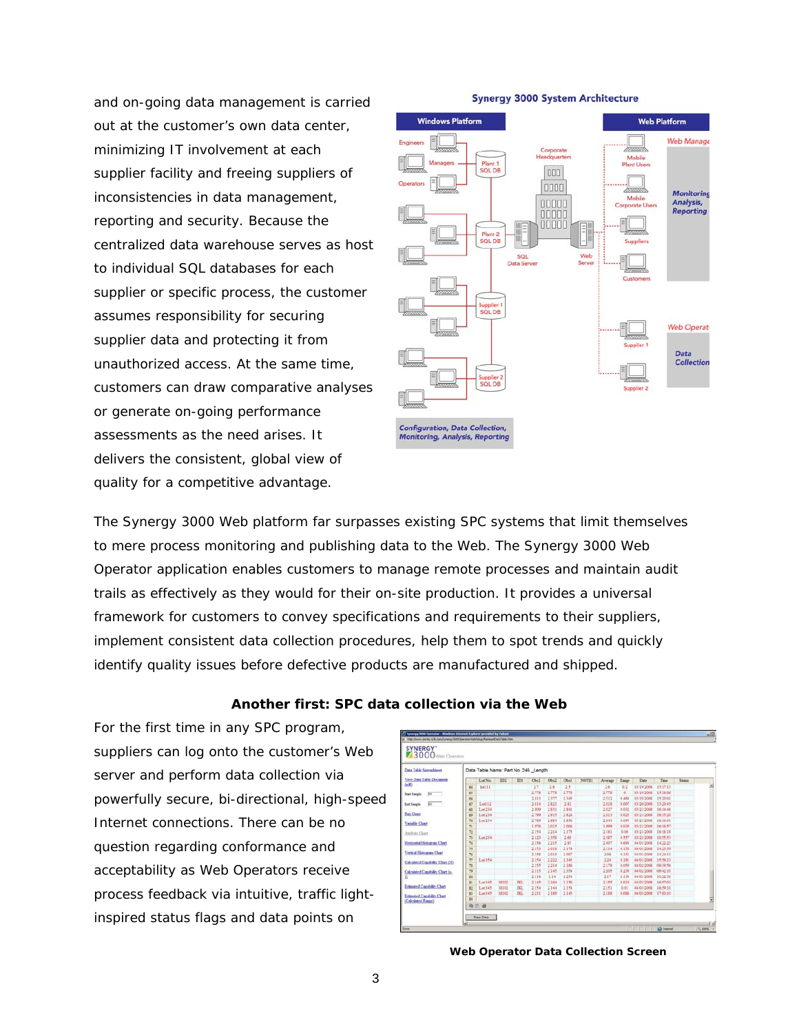and on-going data management is carried out at the customer's own data center, minimizing IT involvement at each supplier facility and freeing suppliers of inconsistencies in data management, reporting and security. Because the centralized data warehouse serves as host to individual SQL databases for each supplier or specific process, the customer assumes responsibility for securing supplier data and protecting it from unauthorized access. At the same time, customers can draw comparative analyses or generate on-going performance assessments as the need arises. It delivers the consistent, global view of quality for a competitive advantage.



The Synergy 3000 Web platform far surpasses existing SPC systems that limit themselves to mere process monitoring and publishing data to the Web. The Synergy 3000 Web Operator application enables customers to manage remote processes and maintain audit trails as effectively as they would for their on-site production. It provides a universal framework for customers to convey specifications and requirements to their suppliers, implement consistent data collection procedures, help them to spot trends and quickly identify quality issues before defective products are manufactured and shipped.

#### **Another first: SPC data collection via the Web**

For the first time in any SPC program, suppliers can log onto the customer's Web server and perform data collection via powerfully secure, bi-directional, high-speed Internet connections. There can be no question regarding conformance and acceptability as Web Operators receive process feedback via intuitive, traffic lightinspired status flags and data points on

| SYNERGY"<br>3000 Web Operator         |                                      |         |      |            |       |       |                 |       |         |       |            |          |        |   |
|---------------------------------------|--------------------------------------|---------|------|------------|-------|-------|-----------------|-------|---------|-------|------------|----------|--------|---|
| Data Table Spreadsheet                | Data Table Name: Part No. 246 Length |         |      |            |       |       |                 |       |         |       |            |          |        |   |
| View Data Table Document              |                                      | Lot No. | 102  | <b>IDS</b> | Obi1  | Obc2  | Ob <sub>5</sub> | NOTE1 | Average | Raspe | Date:      | Time     | Status |   |
| (rd)                                  | 64                                   | Sel11   |      |            | 27    | 2.6   | 2.5             |       | 2.6     | 0.2   | 03/19/2008 | 151711   |        | 픠 |
| $\sqrt{2}$<br><b>Start Sangle</b>     | 65                                   |         |      |            | 2.778 | 2.778 | 2.778           |       | 1.778   | o     | 03/19/2008 | 191806   |        |   |
|                                       | 66                                   |         |      |            | 2.813 | 2.977 | 2345            |       | 2.512   | 0.488 | 03/19/2008 | 15:20:01 |        |   |
| $\overline{343}$<br><b>End Sample</b> | 67                                   | Leel12  |      |            | 2814  | 2.821 | 232             |       | 2.818   | 0.007 | 03/20/2008 | 13:20:45 |        |   |
|                                       | 68                                   | Let 234 |      |            | 2809  | 2.838 | 2841            |       | 2827    | 0.032 | 03/23/2008 | 161446   |        |   |
| <b>Ras Chart</b>                      | 69                                   | Lat 234 |      |            | 2.799 | 2.815 | 2834            |       | 2.813   | 0.025 | 03/21/2008 | 16:15:20 |        |   |
|                                       | 70                                   | Lot 234 |      |            | 2.789 | 2.814 | 2.656           |       | 2.843   | 0.095 | 03/21/2008 | 161601   |        |   |
| <b>Variable Clunt</b>                 | 71                                   |         |      |            | 1.976 | 2.015 | 2006            |       | 1.999   | 0.039 | 03/21/2008 | 161657   |        |   |
| Andrets Chart                         | $\tau_2$                             |         |      |            | 2.154 | 2.214 | 2.175           |       | 2.181   | 0.06  | 03/21/2008 | 161818   |        |   |
|                                       | 73                                   | Lot 234 |      |            | 2.123 | 2.358 | 2.88            |       | 2.387   | 0.557 | 03/23/2008 | 105551   |        |   |
| Horizontal Hotogram Chart             | 74                                   |         |      |            | 2.156 | 2.215 | 2.81            |       | 2.407   | 0.694 | 04/01/2008 | 14:22:23 |        |   |
|                                       | 75                                   |         |      |            | 2.153 | 2.016 | 2.174           |       | 2.114   | 0.158 | 04/01/2008 | 14:23:19 |        |   |
| Vertical Histogram Chart              | 76                                   |         |      |            | 2.155 | 2.015 | 2.007           |       | 2.06    | 0.151 | 04/01/2008 | 14:24:11 |        |   |
| Calculated Capability Chart (N)       | 77                                   | Let 554 |      |            | 2154  | 2.222 | 2345            |       | 2.24    | 0.191 | 84/01/2008 | 155613   |        |   |
|                                       | 71                                   |         |      |            | 2355  | 2.214 | 2.168           |       | 2.179   | 0.059 | 04/02/2008 | 09.39.56 |        |   |
| Calculated Capability Chart (n-       | 79                                   |         |      |            | 2115  | 2.145 | 2354            |       | 2,205   | 0.239 | 04/02/2008 | 09:42:10 |        |   |
| ь                                     | ti)                                  |         |      |            | 2.116 | 2.14  | 2.254           |       | 2.17    | 0.138 | 04/01/2009 | 10:22:16 |        |   |
|                                       | $\mathbb{R}$                         | Let 345 | M102 | JKL.       | 2345  | 2.164 | 2.156           |       | 2155    | 0.019 | 04/03/2008 | 164701   |        |   |
| Entmated Capability Chart             | $\dot{x}$                            | Lot 345 | M102 | <b>IKI</b> | 2.154 | 2.144 | 2.154           |       | 2.151   | 0.01  | 04/03/2008 | 16.59.10 |        |   |
| Estimated Capability Chart            | 83<br>84                             | Lot 345 | M102 | <b>IKL</b> | 2.231 | 2.189 | 2.145           |       | 2188    | 0.086 | 04/03/2008 | 17:00:10 |        | 대 |
| (Calculated Range)                    | <b>And</b>                           |         |      |            |       |       |                 |       |         |       |            |          |        |   |

**Web Operator Data Collection Screen**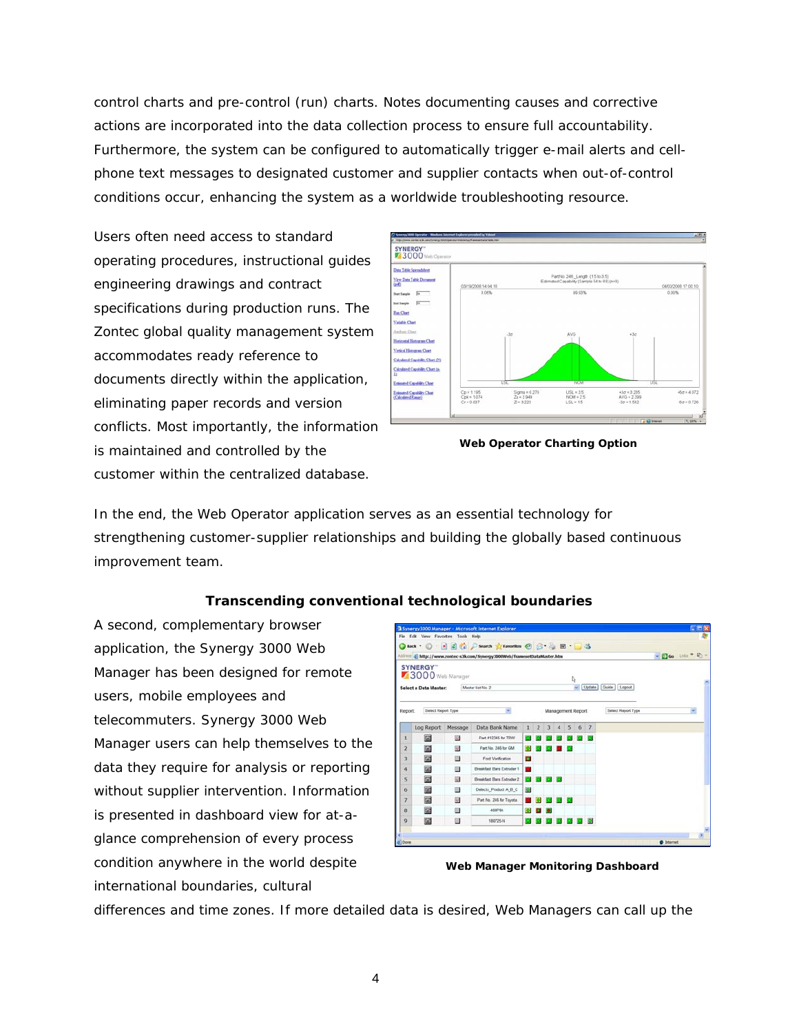control charts and pre-control (run) charts. Notes documenting causes and corrective actions are incorporated into the data collection process to ensure full accountability. Furthermore, the system can be configured to automatically trigger e-mail alerts and cellphone text messages to designated customer and supplier contacts when out-of-control conditions occur, enhancing the system as a worldwide troubleshooting resource.

Users often need access to standard operating procedures, instructional guides engineering drawings and contract specifications during production runs. The Zontec global quality management system accommodates ready reference to documents directly within the application, eliminating paper records and version conflicts. Most importantly, the information is maintained and controlled by the customer within the centralized database.



**Web Operator Charting Option** 

In the end, the Web Operator application serves as an essential technology for strengthening customer-supplier relationships and building the globally based continuous improvement team.

### **Transcending conventional technological boundaries**

A second, complementary browser application, the Synergy 3000 Web Manager has been designed for remote users, mobile employees and telecommuters. Synergy 3000 Web Manager users can help themselves to the data they require for analysis or reporting without supplier intervention. Information is presented in dashboard view for at-aglance comprehension of every process condition anywhere in the world despite international boundaries, cultural

|                |                                     |                  | 3 Synergy3000 Manager - Microsoft Internet Explorer                                                                                       |           |                |   |                |                   |        |     |                       | ж                          |  |
|----------------|-------------------------------------|------------------|-------------------------------------------------------------------------------------------------------------------------------------------|-----------|----------------|---|----------------|-------------------|--------|-----|-----------------------|----------------------------|--|
|                | File Edit View Favorites Tools Help |                  |                                                                                                                                           |           |                |   |                |                   |        |     |                       |                            |  |
|                |                                     |                  | <b>O</b> Back ・ ○ ■ 日 △ P Search ☆ Favorites ④ △ ● 回 · ■ 3<br>Address (g) http://www.zontec-s3k.com/Synergy3000Web/framesetDataHaster.htm |           |                |   |                |                   |        |     |                       | - 2 Go 1883 <sup>*</sup> 6 |  |
|                | SYNERGY"                            |                  |                                                                                                                                           |           |                |   |                |                   |        |     |                       |                            |  |
|                | 3000 Web Manager                    |                  |                                                                                                                                           |           |                |   |                |                   |        |     |                       |                            |  |
|                | Select a Data Master:               |                  | Master list No. 2                                                                                                                         |           |                |   |                | l,                | $\sim$ |     | Update Guide   Logout |                            |  |
|                |                                     |                  |                                                                                                                                           |           |                |   |                |                   |        |     |                       |                            |  |
| Report.        | Select Report Type                  |                  |                                                                                                                                           |           |                |   |                |                   |        |     |                       |                            |  |
|                |                                     |                  |                                                                                                                                           |           |                |   |                | Management Report |        |     | Select Report Type    | ×                          |  |
|                | Log Report                          | Message          | Data Bank Name                                                                                                                            | 1         | $\overline{2}$ | 3 | $\overline{4}$ | 5                 |        | 6/7 |                       |                            |  |
| I.             | ▣                                   | 32               | Part #12345 for TRW                                                                                                                       |           |                |   |                |                   |        |     |                       |                            |  |
| $\overline{2}$ | 固                                   | S.               | Part No. 246 for GM                                                                                                                       |           |                |   |                |                   |        |     |                       |                            |  |
| 3              | 圍                                   | 55               | Ford Verification.                                                                                                                        | о         |                |   |                |                   |        |     |                       |                            |  |
| $\ddot{\bf 4}$ | 囩                                   | $\sim$           | <b>Breakfast Bars Extruder 1</b>                                                                                                          |           |                |   |                |                   |        |     |                       |                            |  |
| 5              | 囩                                   | $\Delta \vec{J}$ | Breakfast Bars Extruder 2                                                                                                                 |           |                |   |                |                   |        |     |                       |                            |  |
| 6              | 圍                                   | $\mathbb{R}$     | Defects Product A B C                                                                                                                     | $\bullet$ |                |   |                |                   |        |     |                       |                            |  |
| 7              | 圔                                   | 図                | Part No. 246 for Toyota                                                                                                                   |           |                |   |                |                   |        |     |                       |                            |  |
| 8              | 固                                   | $\Box$           | 408P84                                                                                                                                    | о         | п              | ы |                |                   |        |     |                       |                            |  |
| 9              | 固                                   | o                | 180725-N                                                                                                                                  |           |                |   |                | 000000            |        |     |                       |                            |  |
|                |                                     |                  |                                                                                                                                           |           |                |   |                |                   |        |     |                       |                            |  |
| <b>I</b> Done  |                                     |                  |                                                                                                                                           |           |                |   |                |                   |        |     |                       | C Internet                 |  |

**Web Manager Monitoring Dashboard** 

differences and time zones. If more detailed data is desired, Web Managers can call up the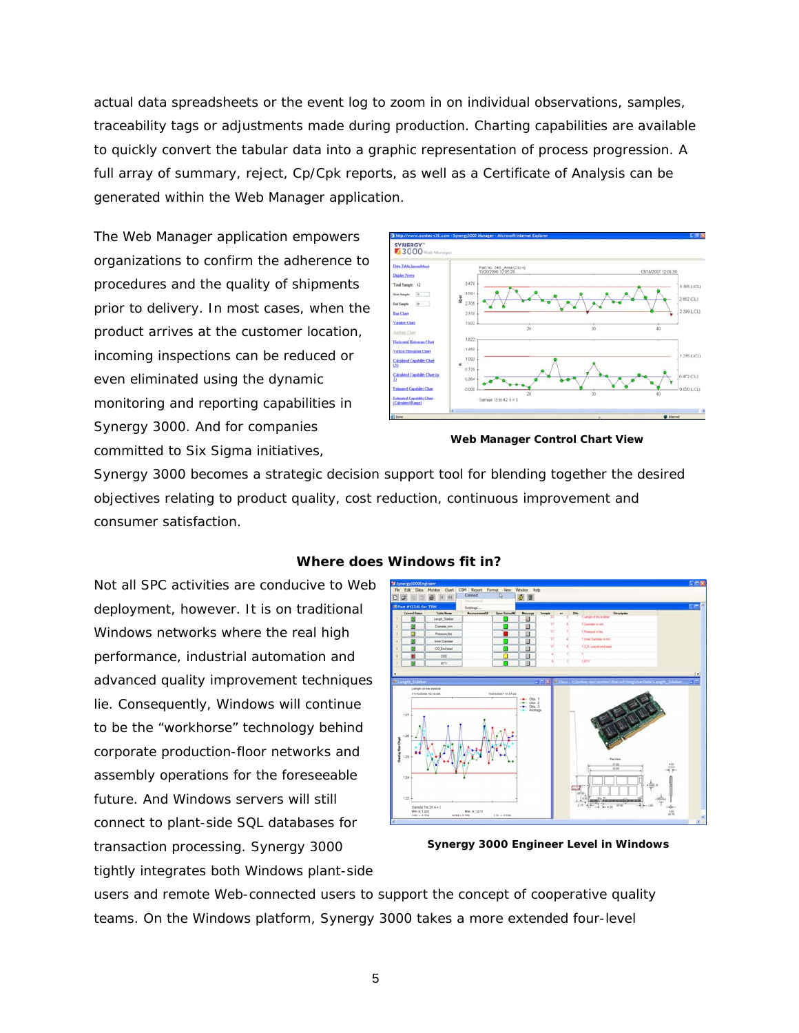actual data spreadsheets or the event log to zoom in on individual observations, samples, traceability tags or adjustments made during production. Charting capabilities are available to quickly convert the tabular data into a graphic representation of process progression. A full array of summary, reject, Cp/Cpk reports, as well as a Certificate of Analysis can be generated within the Web Manager application.

The Web Manager application empowers organizations to confirm the adherence to procedures and the quality of shipments prior to delivery. In most cases, when the product arrives at the customer location, incoming inspections can be reduced or even eliminated using the dynamic monitoring and reporting capabilities in Synergy 3000. And for companies committed to Six Sigma initiatives,



**Web Manager Control Chart View** 

Synergy 3000 becomes a strategic decision support tool for blending together the desired objectives relating to product quality, cost reduction, continuous improvement and consumer satisfaction.

Not all SPC activities are conducive to Web deployment, however. It is on traditional Windows networks where the real high performance, industrial automation and advanced quality improvement techniques lie. Consequently, Windows will continue to be the "workhorse" technology behind corporate production-floor networks and assembly operations for the foreseeable future. And Windows servers will still connect to plant-side SQL databases for transaction processing. Synergy 3000 tightly integrates both Windows plant-side



#### **Where does Windows fit in?**

**Synergy 3000 Engineer Level in Windows** 

users and remote Web-connected users to support the concept of cooperative quality teams. On the Windows platform, Synergy 3000 takes a more extended four-level